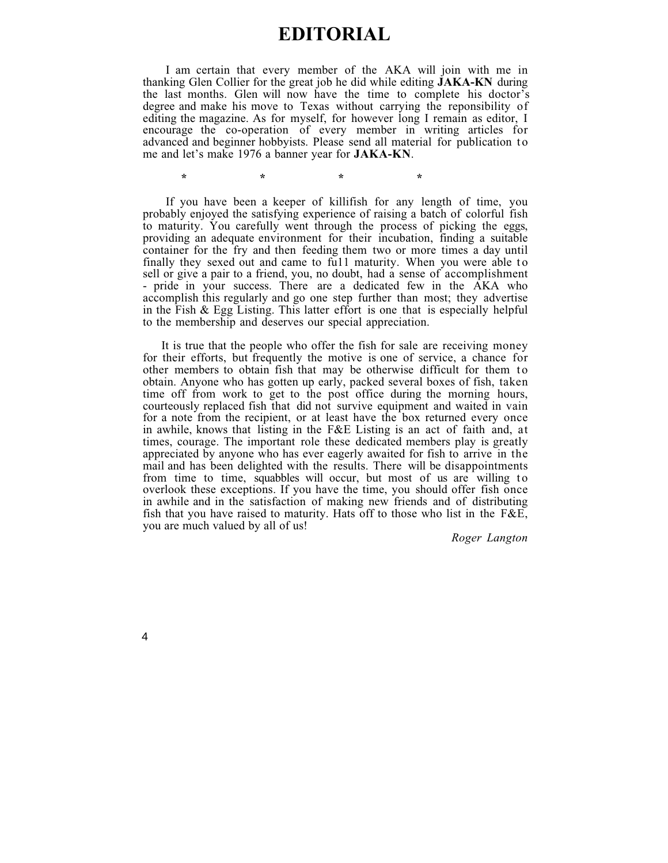# **EDITORIAL**

I am certain that every member of the AKA will join with me in thanking Glen Collier for the great job he did while editing **JAKA-KN** during the last months. Glen will now have the time to complete his doctor's degree and make his move to Texas without carrying the reponsibility of editing the magazine. As for myself, for however long I remain as editor, I encourage the co-operation of every member in writing articles for advanced and beginner hobbyists. Please send all material for publication to me and let's make 1976 a banner year for **JAKA-KN**.

\*\*\*\*\*\*\*\*\*\*\*

If you have been a keeper of killifish for any length of time, you probably enjoyed the satisfying experience of raising a batch of colorful fish to maturity. You carefully went through the process of picking the eggs, providing an adequate environment for their incubation, finding a suitable container for the fry and then feeding them two or more times a day until finally they sexed out and came to full maturity. When you were able to sell or give a pair to a friend, you, no doubt, had a sense of accomplishment - pride in your success. There are a dedicated few in the AKA who accomplish this regularly and go one step further than most; they advertise in the Fish & Egg Listing. This latter effort is one that is especially helpful to the membership and deserves our special appreciation.

It is true that the people who offer the fish for sale are receiving money for their efforts, but frequently the motive is one of service, a chance for other members to obtain fish that may be otherwise difficult for them to obtain. Anyone who has gotten up early, packed several boxes of fish, taken time off from work to get to the post office during the morning hours, courteously replaced fish that did not survive equipment and waited in vain for a note from the recipient, or at least have the box returned every once in awhile, knows that listing in the F&E Listing is an act of faith and, at times, courage. The important role these dedicated members play is greatly appreciated by anyone who has ever eagerly awaited for fish to arrive in the mail and has been delighted with the results. There will be disappointments from time to time, squabbles will occur, but most of us are willing to overlook these exceptions. If you have the time, you should offer fish once in awhile and in the satisfaction of making new friends and of distributing fish that you have raised to maturity. Hats off to those who list in the F&E, you are much valued by all of us!

*Roger Langton*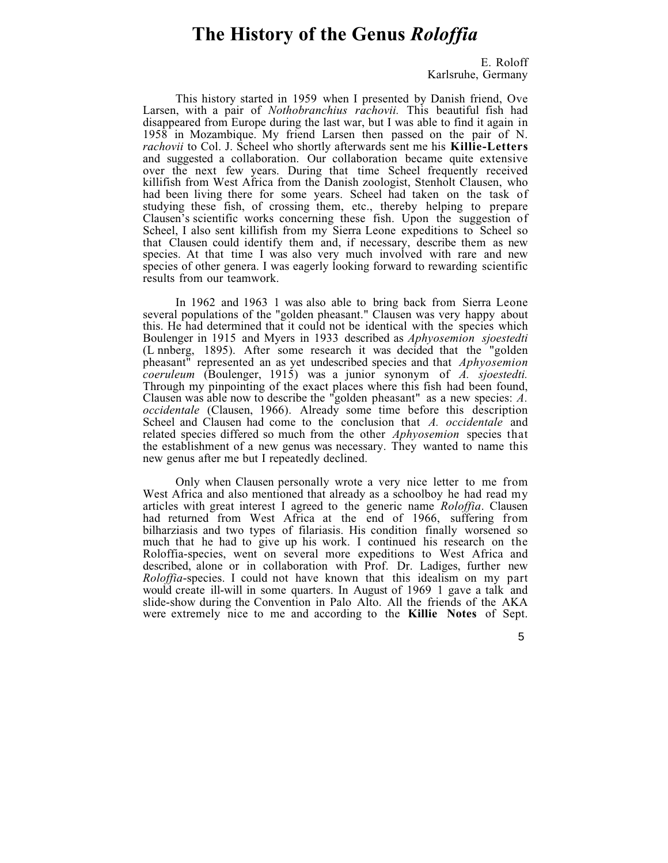# **The History of the Genus** *Roloffia*

E. Roloff Karlsruhe, Germany

This history started in 1959 when I presented by Danish friend, Ove Larsen, with a pair of *Nothobranchius rachovii.* This beautiful fish had disappeared from Europe during the last war, but I was able to find it again in 1958 in Mozambique. My friend Larsen then passed on the pair of N. *rachovii* to Col. J. Scheel who shortly afterwards sent me his **Killie-Letters** and suggested a collaboration. Our collaboration became quite extensive over the next few years. During that time Scheel frequently received killifish from West Africa from the Danish zoologist, Stenholt Clausen, who had been living there for some years. Scheel had taken on the task of studying these fish, of crossing them, etc., thereby helping to prepare Clausen's scientific works concerning these fish. Upon the suggestion of Scheel, I also sent killifish from my Sierra Leone expeditions to Scheel so that Clausen could identify them and, if necessary, describe them as new species. At that time I was also very much involved with rare and new species of other genera. I was eagerly looking forward to rewarding scientific results from our teamwork.

In 1962 and 1963 1 was also able to bring back from Sierra Leone several populations of the "golden pheasant." Clausen was very happy about this. He had determined that it could not be identical with the species which Boulenger in 1915 and Myers in 1933 described as *Aphyosemion sjoestedti* (L nnberg, 1895). After some research it was decided that the "golden pheasant" represented an as yet undescribed species and that *Aphyosemion coeruleum* (Boulenger, 1915) was a junior synonym of *A. sjoestedti.* Through my pinpointing of the exact places where this fish had been found, Clausen was able now to describe the "golden pheasant" as a new species: *A. occidentale* (Clausen, 1966). Already some time before this description Scheel and Clausen had come to the conclusion that *A. occidentale* and related species differed so much from the other *Aphyosemion* species that the establishment of a new genus was necessary. They wanted to name this new genus after me but I repeatedly declined.

Only when Clausen personally wrote a very nice letter to me from West Africa and also mentioned that already as a schoolboy he had read my articles with great interest I agreed to the generic name *Roloffia*. Clausen had returned from West Africa at the end of 1966, suffering from bilharziasis and two types of filariasis. His condition finally worsened so much that he had to give up his work. I continued his research on the Roloffia-species, went on several more expeditions to West Africa and described, alone or in collaboration with Prof. Dr. Ladiges, further new *Roloffia*-species. I could not have known that this idealism on my part would create ill-will in some quarters. In August of 1969 1 gave a talk and slide-show during the Convention in Palo Alto. All the friends of the AKA were extremely nice to me and according to the **Killie Notes** of Sept.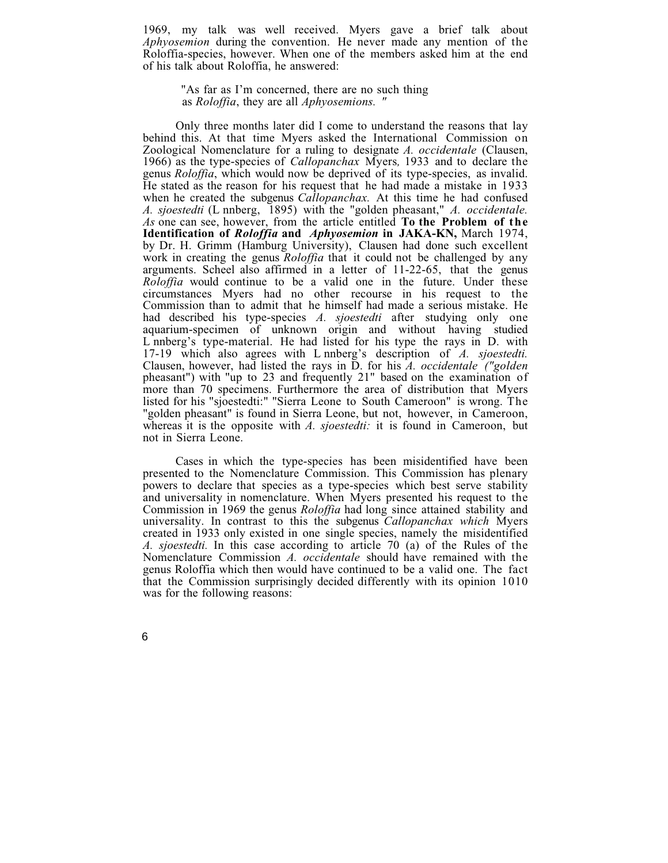1969, my talk was well received. Myers gave a brief talk about *Aphyosemion* during the convention. He never made any mention of the Roloffia-species, however. When one of the members asked him at the end of his talk about Roloffia, he answered:

"As far as I'm concerned, there are no such thing as *Roloffia*, they are all *Aphyosemions. "*

Only three months later did I come to understand the reasons that lay behind this. At that time Myers asked the International Commission on Zoological Nomenclature for a ruling to designate *A. occidentale* (Clausen, 1966) as the type-species of *Callopanchax* Myers*,* 1933 and to declare the genus *Roloffia*, which would now be deprived of its type-species, as invalid. He stated as the reason for his request that he had made a mistake in 1933 when he created the subgenus *Callopanchax.* At this time he had confused *A. sjoestedti* (L nnberg, 1895) with the "golden pheasant," *A. occidentale. As* one can see, however, from the article entitled **To the Problem of the Identification of** *Roloffia* **and** *Aphyosemion* **in JAKA-KN,** March 1974, by Dr. H. Grimm (Hamburg University), Clausen had done such excellent work in creating the genus *Roloffia* that it could not be challenged by any arguments. Scheel also affirmed in a letter of 11-22-65, that the genus *Roloffia* would continue to be a valid one in the future. Under these circumstances Myers had no other recourse in his request to the Commission than to admit that he himself had made a serious mistake. He had described his type-species *A. sjoestedti* after studying only one aquarium-specimen of unknown origin and without having studied L nnberg's type-material. He had listed for his type the rays in D. with 17-19 which also agrees with L nnberg's description of *A. sjoestedti.* Clausen, however, had listed the rays in D. for his *A. occidentale ("golden* pheasant") with "up to 23 and frequently 21" based on the examination of more than 70 specimens. Furthermore the area of distribution that Myers listed for his "sjoestedti:" "Sierra Leone to South Cameroon" is wrong. The "golden pheasant" is found in Sierra Leone, but not, however, in Cameroon, whereas it is the opposite with *A. sjoestedti:* it is found in Cameroon, but not in Sierra Leone.

Cases in which the type-species has been misidentified have been presented to the Nomenclature Commission. This Commission has plenary powers to declare that species as a type-species which best serve stability and universality in nomenclature. When Myers presented his request to the Commission in 1969 the genus *Roloffia* had long since attained stability and universality. In contrast to this the subgenus *Callopanchax which* Myers created in 1933 only existed in one single species, namely the misidentified *A. sjoestedti.* In this case according to article 70 (a) of the Rules of the Nomenclature Commission *A. occidentale* should have remained with the genus Roloffia which then would have continued to be a valid one. The fact that the Commission surprisingly decided differently with its opinion 1010 was for the following reasons: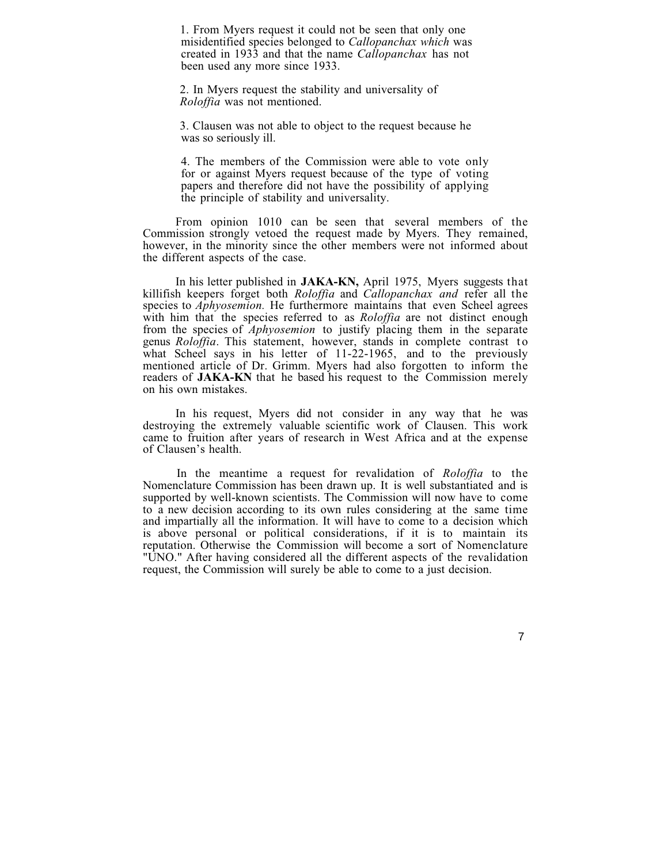1. From Myers request it could not be seen that only one misidentified species belonged to *Callopanchax which* was created in 1933 and that the name *Callopanchax* has not been used any more since 1933.

2. In Myers request the stability and universality of *Roloffia* was not mentioned.

3. Clausen was not able to object to the request because he was so seriously ill.

4. The members of the Commission were able to vote only for or against Myers request because of the type of voting papers and therefore did not have the possibility of applying the principle of stability and universality.

From opinion 1010 can be seen that several members of the Commission strongly vetoed the request made by Myers. They remained, however, in the minority since the other members were not informed about the different aspects of the case.

In his letter published in **JAKA-KN,** April 1975, Myers suggests that killifish keepers forget both *Roloffia* and *Callopanchax and* refer all the species to *Aphyosemion.* He furthermore maintains that even Scheel agrees with him that the species referred to as *Roloffia* are not distinct enough from the species of *Aphyosemion* to justify placing them in the separate genus *Roloffia*. This statement, however, stands in complete contrast to what Scheel says in his letter of 11-22-1965, and to the previously mentioned article of Dr. Grimm. Myers had also forgotten to inform the readers of **JAKA-KN** that he based his request to the Commission merely on his own mistakes.

In his request, Myers did not consider in any way that he was destroying the extremely valuable scientific work of Clausen. This work came to fruition after years of research in West Africa and at the expense of Clausen's health.

In the meantime a request for revalidation of *Roloffia* to the Nomenclature Commission has been drawn up. It is well substantiated and is supported by well-known scientists. The Commission will now have to come to a new decision according to its own rules considering at the same time and impartially all the information. It will have to come to a decision which is above personal or political considerations, if it is to maintain its reputation. Otherwise the Commission will become a sort of Nomenclature "UNO." After having considered all the different aspects of the revalidation request, the Commission will surely be able to come to a just decision.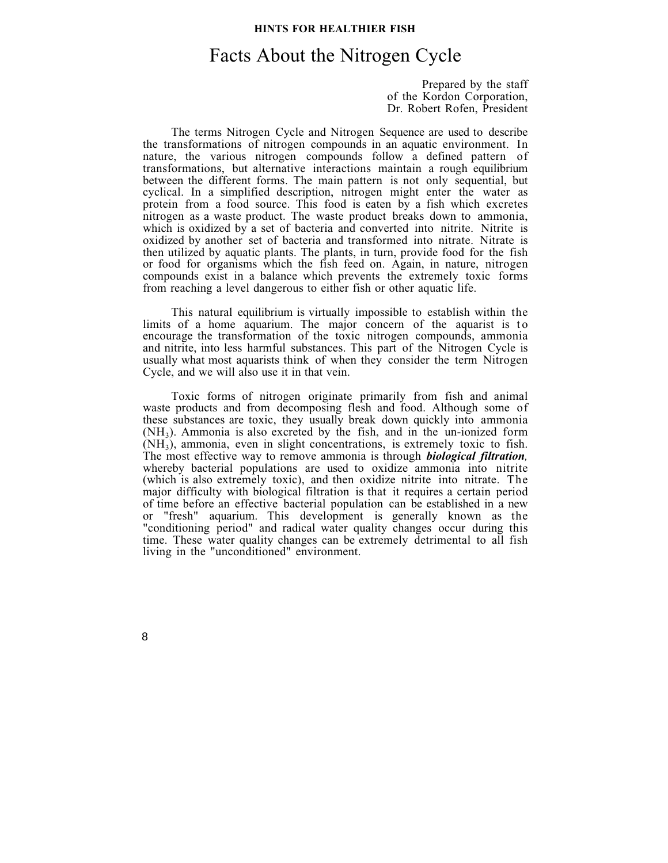### **HINTS FOR HEALTHIER FISH**

# Facts About the Nitrogen Cycle

Prepared by the staff of the Kordon Corporation, Dr. Robert Rofen, President

The terms Nitrogen Cycle and Nitrogen Sequence are used to describe the transformations of nitrogen compounds in an aquatic environment. In nature, the various nitrogen compounds follow a defined pattern of transformations, but alternative interactions maintain a rough equilibrium between the different forms. The main pattern is not only sequential, but cyclical. In a simplified description, nitrogen might enter the water as protein from a food source. This food is eaten by a fish which excretes nitrogen as a waste product. The waste product breaks down to ammonia, which is oxidized by a set of bacteria and converted into nitrite. Nitrite is oxidized by another set of bacteria and transformed into nitrate. Nitrate is then utilized by aquatic plants. The plants, in turn, provide food for the fish or food for organisms which the fish feed on. Again, in nature, nitrogen compounds exist in a balance which prevents the extremely toxic forms from reaching a level dangerous to either fish or other aquatic life.

This natural equilibrium is virtually impossible to establish within the limits of a home aquarium. The major concern of the aquarist is to encourage the transformation of the toxic nitrogen compounds, ammonia and nitrite, into less harmful substances. This part of the Nitrogen Cycle is usually what most aquarists think of when they consider the term Nitrogen Cycle, and we will also use it in that vein.

Toxic forms of nitrogen originate primarily from fish and animal waste products and from decomposing flesh and food. Although some of these substances are toxic, they usually break down quickly into ammonia  $(NH<sub>3</sub>)$ . Ammonia is also excreted by the fish, and in the un-ionized form  $(NH<sub>3</sub>)$ , ammonia, even in slight concentrations, is extremely toxic to fish. The most effective way to remove ammonia is through *biological filtration,* whereby bacterial populations are used to oxidize ammonia into nitrite (which is also extremely toxic), and then oxidize nitrite into nitrate. The major difficulty with biological filtration is that it requires a certain period of time before an effective bacterial population can be established in a new or "fresh" aquarium. This development is generally known as the "conditioning period" and radical water quality changes occur during this time. These water quality changes can be extremely detrimental to all fish living in the "unconditioned" environment.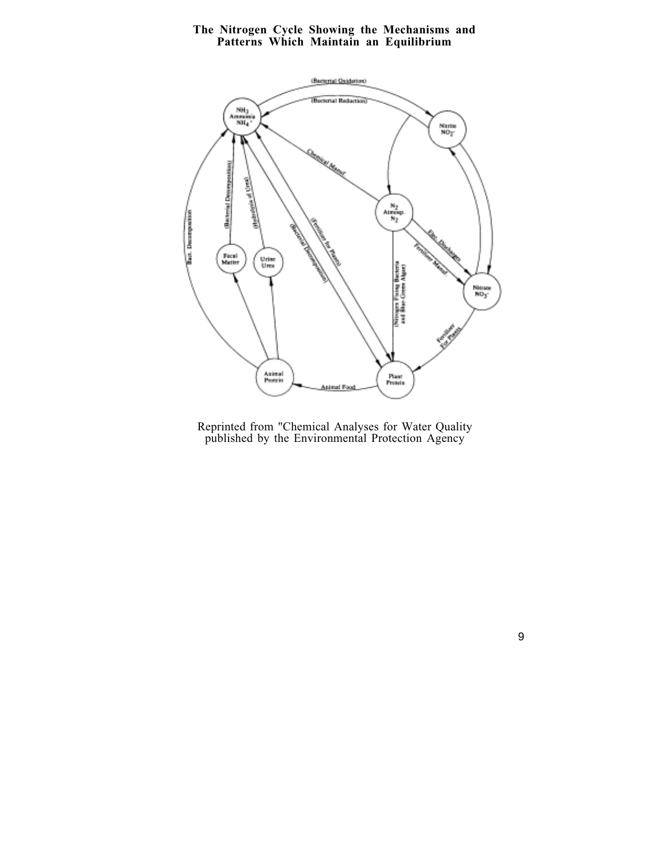## **The Nitrogen Cycle Showing the Mechanisms and Patterns Which Maintain an Equilibrium**



Reprinted from "Chemical Analyses for Water Quality published by the Environmental Protection Agency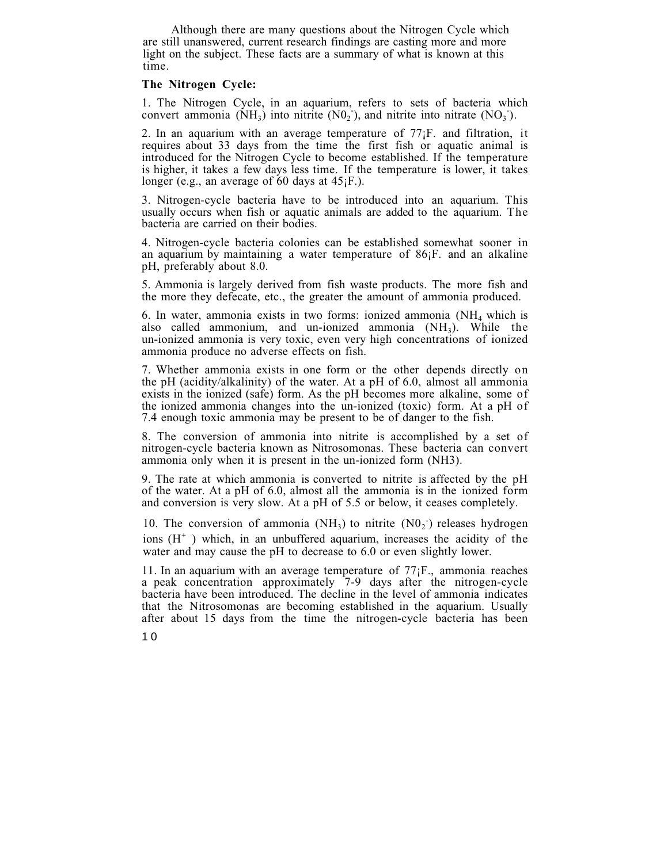Although there are many questions about the Nitrogen Cycle which are still unanswered, current research findings are casting more and more light on the subject. These facts are a summary of what is known at this time.

## **The Nitrogen Cycle:**

1. The Nitrogen Cycle, in an aquarium, refers to sets of bacteria which convert ammonia (NH<sub>3</sub>) into nitrite (N0<sub>2</sub><sup>-</sup>), and nitrite into nitrate (NO<sub>3</sub><sup>-</sup>).

2. In an aquarium with an average temperature of 77¡F. and filtration, it requires about 33 days from the time the first fish or aquatic animal is introduced for the Nitrogen Cycle to become established. If the temperature is higher, it takes a few days less time. If the temperature is lower, it takes longer (e.g., an average of 60 days at 45<sub>j</sub>F.).

3. Nitrogen-cycle bacteria have to be introduced into an aquarium. This usually occurs when fish or aquatic animals are added to the aquarium. The bacteria are carried on their bodies.

4. Nitrogen-cycle bacteria colonies can be established somewhat sooner in an aquarium by maintaining a water temperature of  $86$ <sub>i</sub>F. and an alkaline pH, preferably about 8.0.

5. Ammonia is largely derived from fish waste products. The more fish and the more they defecate, etc., the greater the amount of ammonia produced.

6. In water, ammonia exists in two forms: ionized ammonia  $(NH<sub>4</sub>$  which is also called ammonium, and un-ionized ammonia  $(NH<sub>3</sub>)$ . While the un-ionized ammonia is very toxic, even very high concentrations of ionized ammonia produce no adverse effects on fish.

7. Whether ammonia exists in one form or the other depends directly on the pH (acidity/alkalinity) of the water. At a pH of 6.0, almost all ammonia exists in the ionized (safe) form. As the pH becomes more alkaline, some of the ionized ammonia changes into the un-ionized (toxic) form. At a pH of 7.4 enough toxic ammonia may be present to be of danger to the fish.

8. The conversion of ammonia into nitrite is accomplished by a set of nitrogen-cycle bacteria known as Nitrosomonas. These bacteria can convert ammonia only when it is present in the un-ionized form (NH3).

9. The rate at which ammonia is converted to nitrite is affected by the pH of the water. At a pH of 6.0, almost all the ammonia is in the ionized form and conversion is very slow. At a pH of 5.5 or below, it ceases completely.

10. The conversion of ammonia (NH<sub>3</sub>) to nitrite  $(N0<sub>2</sub>)$  releases hydrogen ions  $(H^+)$  which, in an unbuffered aquarium, increases the acidity of the water and may cause the pH to decrease to 6.0 or even slightly lower.

11. In an aquarium with an average temperature of  $77$ <sub>i</sub>F., ammonia reaches a peak concentration approximately 7-9 days after the nitrogen-cycle bacteria have been introduced. The decline in the level of ammonia indicates that the Nitrosomonas are becoming established in the aquarium. Usually after about 15 days from the time the nitrogen-cycle bacteria has been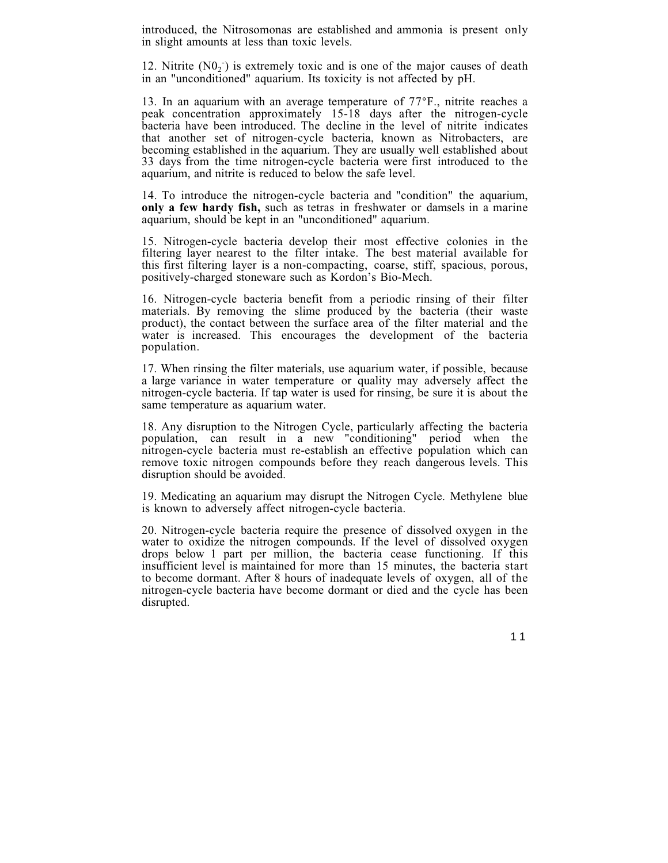introduced, the Nitrosomonas are established and ammonia is present only in slight amounts at less than toxic levels.

12. Nitrite  $(NO<sub>2</sub>^-)$  is extremely toxic and is one of the major causes of death in an "unconditioned" aquarium. Its toxicity is not affected by pH.

13. In an aquarium with an average temperature of 77°F., nitrite reaches a peak concentration approximately 15-18 days after the nitrogen-cycle bacteria have been introduced. The decline in the level of nitrite indicates that another set of nitrogen-cycle bacteria, known as Nitrobacters, are becoming established in the aquarium. They are usually well established about 33 days from the time nitrogen-cycle bacteria were first introduced to the aquarium, and nitrite is reduced to below the safe level.

14. To introduce the nitrogen-cycle bacteria and "condition" the aquarium, **only a few hardy fish,** such as tetras in freshwater or damsels in a marine aquarium, should be kept in an "unconditioned" aquarium.

15. Nitrogen-cycle bacteria develop their most effective colonies in the filtering layer nearest to the filter intake. The best material available for this first filtering layer is a non-compacting, coarse, stiff, spacious, porous, positively-charged stoneware such as Kordon's Bio-Mech.

16. Nitrogen-cycle bacteria benefit from a periodic rinsing of their filter materials. By removing the slime produced by the bacteria (their waste product), the contact between the surface area of the filter material and the water is increased. This encourages the development of the bacteria population.

17. When rinsing the filter materials, use aquarium water, if possible, because a large variance in water temperature or quality may adversely affect the nitrogen-cycle bacteria. If tap water is used for rinsing, be sure it is about the same temperature as aquarium water.

18. Any disruption to the Nitrogen Cycle, particularly affecting the bacteria population, can result in a new "conditioning" period when the nitrogen-cycle bacteria must re-establish an effective population which can remove toxic nitrogen compounds before they reach dangerous levels. This disruption should be avoided.

19. Medicating an aquarium may disrupt the Nitrogen Cycle. Methylene blue is known to adversely affect nitrogen-cycle bacteria.

20. Nitrogen-cycle bacteria require the presence of dissolved oxygen in the water to oxidize the nitrogen compounds. If the level of dissolved oxygen drops below 1 part per million, the bacteria cease functioning. If this insufficient level is maintained for more than 15 minutes, the bacteria start to become dormant. After 8 hours of inadequate levels of oxygen, all of the nitrogen-cycle bacteria have become dormant or died and the cycle has been disrupted.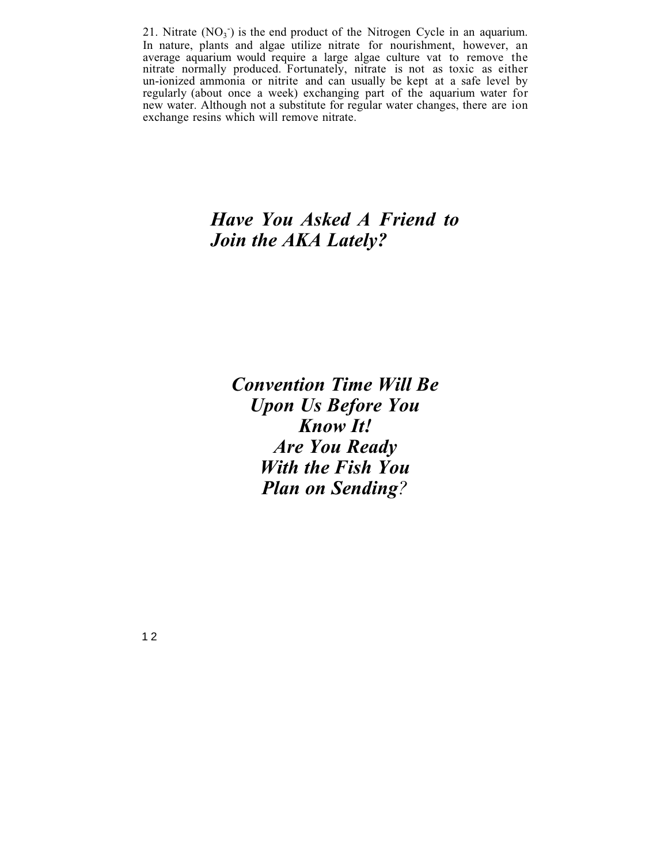21. Nitrate  $(NO<sub>3</sub>)$  is the end product of the Nitrogen Cycle in an aquarium. In nature, plants and algae utilize nitrate for nourishment, however, an average aquarium would require a large algae culture vat to remove the nitrate normally produced. Fortunately, nitrate is not as toxic as either un-ionized ammonia or nitrite and can usually be kept at a safe level by regularly (about once a week) exchanging part of the aquarium water for new water. Although not a substitute for regular water changes, there are ion exchange resins which will remove nitrate.

# *Have You Asked A Friend to Join the AKA Lately?*

*Convention Time Will Be Upon Us Before You Know It! Are You Ready With the Fish You Plan on Sending?*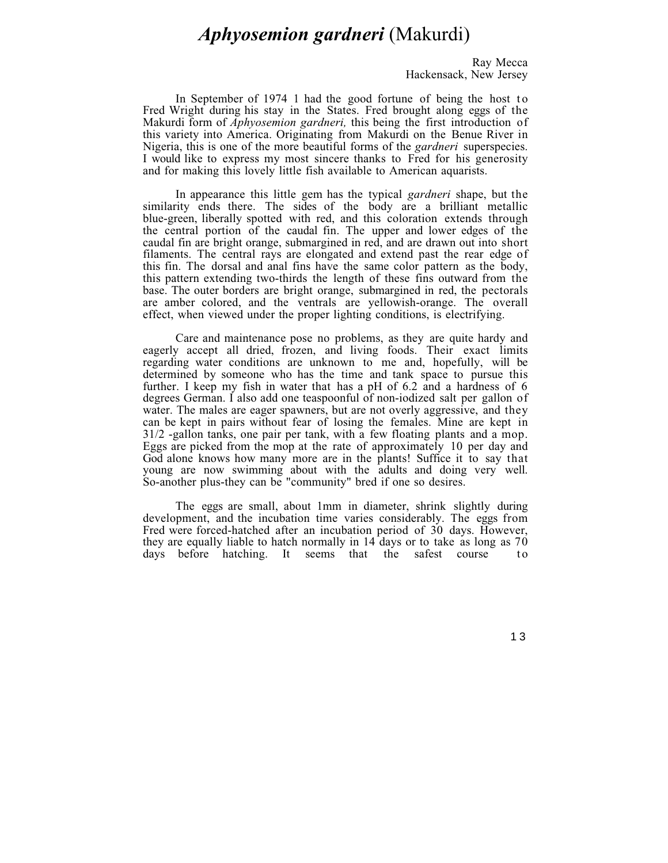# *Aphyosemion gardneri* (Makurdi)

Ray Mecca Hackensack, New Jersey

In September of 1974 1 had the good fortune of being the host to Fred Wright during his stay in the States. Fred brought along eggs of the Makurdi form of *Aphyosemion gardneri,* this being the first introduction of this variety into America. Originating from Makurdi on the Benue River in Nigeria, this is one of the more beautiful forms of the *gardneri* superspecies. I would like to express my most sincere thanks to Fred for his generosity and for making this lovely little fish available to American aquarists.

In appearance this little gem has the typical *gardneri* shape, but the similarity ends there. The sides of the body are a brilliant metallic blue-green, liberally spotted with red, and this coloration extends through the central portion of the caudal fin. The upper and lower edges of the caudal fin are bright orange, submargined in red, and are drawn out into short filaments. The central rays are elongated and extend past the rear edge of this fin. The dorsal and anal fins have the same color pattern as the body, this pattern extending two-thirds the length of these fins outward from the base. The outer borders are bright orange, submargined in red, the pectorals are amber colored, and the ventrals are yellowish-orange. The overall effect, when viewed under the proper lighting conditions, is electrifying.

Care and maintenance pose no problems, as they are quite hardy and eagerly accept all dried, frozen, and living foods. Their exact limits regarding water conditions are unknown to me and, hopefully, will be determined by someone who has the time and tank space to pursue this further. I keep my fish in water that has a pH of 6.2 and a hardness of 6 degrees German. I also add one teaspoonful of non-iodized salt per gallon of water. The males are eager spawners, but are not overly aggressive, and they can be kept in pairs without fear of losing the females. Mine are kept in 31/2 -gallon tanks, one pair per tank, with a few floating plants and a mop. Eggs are picked from the mop at the rate of approximately 10 per day and God alone knows how many more are in the plants! Suffice it to say that young are now swimming about with the adults and doing very well. So-another plus-they can be "community" bred if one so desires.

The eggs are small, about 1mm in diameter, shrink slightly during development, and the incubation time varies considerably. The eggs from Fred were forced-hatched after an incubation period of 30 days. However, they are equally liable to hatch normally in 14 days or to take as long as 70 days before hatching. It seems that the safest course to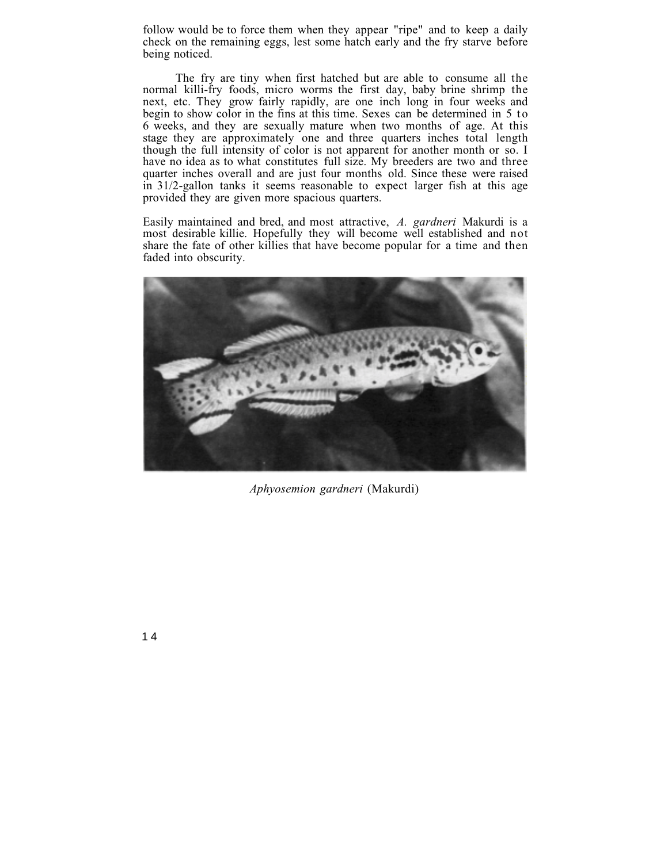follow would be to force them when they appear "ripe" and to keep a daily check on the remaining eggs, lest some hatch early and the fry starve before being noticed.

The fry are tiny when first hatched but are able to consume all the normal killi-fry foods, micro worms the first day, baby brine shrimp the next, etc. They grow fairly rapidly, are one inch long in four weeks and begin to show color in the fins at this time. Sexes can be determined in 5 to 6 weeks, and they are sexually mature when two months of age. At this stage they are approximately one and three quarters inches total length though the full intensity of color is not apparent for another month or so. I have no idea as to what constitutes full size. My breeders are two and three quarter inches overall and are just four months old. Since these were raised in 31/2-gallon tanks it seems reasonable to expect larger fish at this age provided they are given more spacious quarters.

Easily maintained and bred, and most attractive, *A. gardneri* Makurdi is a most desirable killie. Hopefully they will become well established and not share the fate of other killies that have become popular for a time and then faded into obscurity.



*Aphyosemion gardneri* (Makurdi)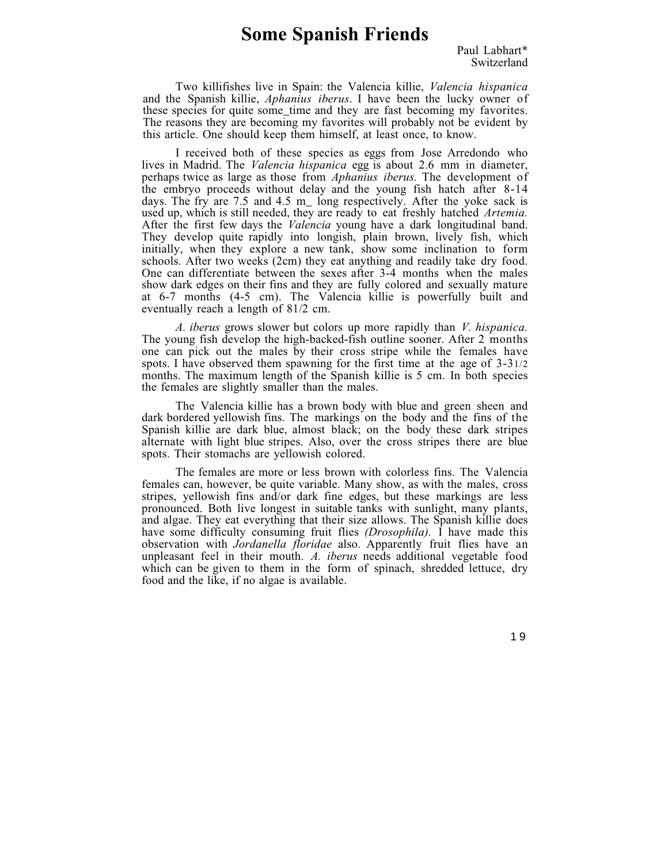# **Some Spanish Friends**

Two killifishes live in Spain: the Valencia killie, *Valencia hispanica* and the Spanish killie, *Aphanius iberus*. I have been the lucky owner of these species for quite some\_time and they are fast becoming my favorites. The reasons they are becoming my favorites will probably not be evident by this article. One should keep them himself, at least once, to know.

I received both of these species as eggs from Jose Arredondo who lives in Madrid. The *Valencia hispanica* egg is about 2.6 mm in diameter, perhaps twice as large as those from *Aphanius iberus.* The development of the embryo proceeds without delay and the young fish hatch after 8-14 days. The fry are 7.5 and 4.5 m\_ long respectively. After the yoke sack is used up, which is still needed, they are ready to eat freshly hatched *Artemia.* After the first few days the *Valencia* young have a dark longitudinal band. They develop quite rapidly into longish, plain brown, lively fish, which initially, when they explore a new tank, show some inclination to form schools. After two weeks (2cm) they eat anything and readily take dry food. One can differentiate between the sexes after 3-4 months when the males show dark edges on their fins and they are fully colored and sexually mature at 6-7 months (4-5 cm). The Valencia killie is powerfully built and eventually reach a length of 81/2 cm.

*A. iberus* grows slower but colors up more rapidly than *V. hispanica.* The young fish develop the high-backed-fish outline sooner. After 2 months one can pick out the males by their cross stripe while the females have spots. I have observed them spawning for the first time at the age of 3-31/2 months. The maximum length of the Spanish killie is 5 cm. In both species the females are slightly smaller than the males.

The Valencia killie has a brown body with blue and green sheen and dark bordered yellowish fins. The markings on the body and the fins of the Spanish killie are dark blue, almost black; on the body these dark stripes alternate with light blue stripes. Also, over the cross stripes there are blue spots. Their stomachs are yellowish colored.

The females are more or less brown with colorless fins. The Valencia females can, however, be quite variable. Many show, as with the males, cross stripes, yellowish fins and/or dark fine edges, but these markings are less pronounced. Both live longest in suitable tanks with sunlight, many plants, and algae. They eat everything that their size allows. The Spanish killie does have some difficulty consuming fruit flies *(Drosophila).* I have made this observation with *Jordanella floridae* also. Apparently fruit flies have an unpleasant feel in their mouth. *A. iberus* needs additional vegetable food which can be given to them in the form of spinach, shredded lettuce, dry food and the like, if no algae is available.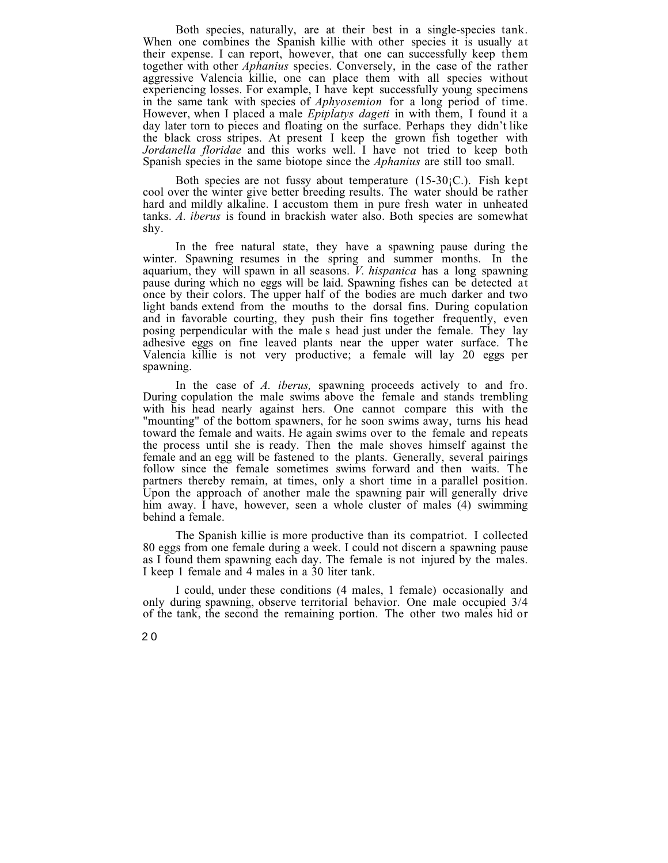Both species, naturally, are at their best in a single-species tank. When one combines the Spanish killie with other species it is usually at their expense. I can report, however, that one can successfully keep them together with other *Aphanius* species. Conversely, in the case of the rather aggressive Valencia killie, one can place them with all species without experiencing losses. For example, I have kept successfully young specimens in the same tank with species of *Aphyosemion* for a long period of time. However, when I placed a male *Epiplatys dageti* in with them, I found it a day later torn to pieces and floating on the surface. Perhaps they didn't like the black cross stripes. At present I keep the grown fish together with *Jordanella floridae* and this works well. I have not tried to keep both Spanish species in the same biotope since the *Aphanius* are still too small.

Both species are not fussy about temperature  $(15-30)$ ; Fish kept cool over the winter give better breeding results. The water should be rather hard and mildly alkaline. I accustom them in pure fresh water in unheated tanks. *A. iberus* is found in brackish water also. Both species are somewhat shy.

In the free natural state, they have a spawning pause during the winter. Spawning resumes in the spring and summer months. In the aquarium, they will spawn in all seasons. *V. hispanica* has a long spawning pause during which no eggs will be laid. Spawning fishes can be detected at once by their colors. The upper half of the bodies are much darker and two light bands extend from the mouths to the dorsal fins. During copulation and in favorable courting, they push their fins together frequently, even posing perpendicular with the male s head just under the female. They lay adhesive eggs on fine leaved plants near the upper water surface. The Valencia killie is not very productive; a female will lay 20 eggs per spawning.

In the case of *A. iberus,* spawning proceeds actively to and fro. During copulation the male swims above the female and stands trembling with his head nearly against hers. One cannot compare this with the "mounting" of the bottom spawners, for he soon swims away, turns his head toward the female and waits. He again swims over to the female and repeats the process until she is ready. Then the male shoves himself against the female and an egg will be fastened to the plants. Generally, several pairings follow since the female sometimes swims forward and then waits. The partners thereby remain, at times, only a short time in a parallel position. Upon the approach of another male the spawning pair will generally drive him away. I have, however, seen a whole cluster of males (4) swimming behind a female.

The Spanish killie is more productive than its compatriot. I collected 80 eggs from one female during a week. I could not discern a spawning pause as I found them spawning each day. The female is not injured by the males. I keep 1 female and 4 males in a 30 liter tank.

I could, under these conditions (4 males, 1 female) occasionally and only during spawning, observe territorial behavior. One male occupied 3/4 of the tank, the second the remaining portion. The other two males hid or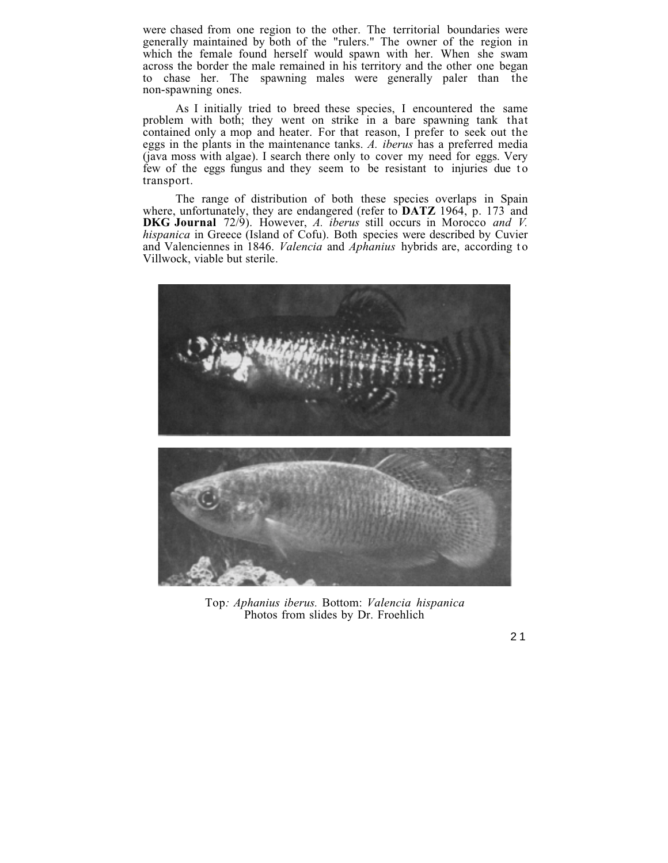were chased from one region to the other. The territorial boundaries were generally maintained by both of the "rulers." The owner of the region in which the female found herself would spawn with her. When she swam across the border the male remained in his territory and the other one began to chase her. The spawning males were generally paler than the non-spawning ones.

As I initially tried to breed these species, I encountered the same problem with both; they went on strike in a bare spawning tank that contained only a mop and heater. For that reason, I prefer to seek out the eggs in the plants in the maintenance tanks. *A. iberus* has a preferred media (java moss with algae). I search there only to cover my need for eggs. Very few of the eggs fungus and they seem to be resistant to injuries due to transport.

The range of distribution of both these species overlaps in Spain where, unfortunately, they are endangered (refer to **DATZ** 1964, p. 173 and **DKG Journal** 72/9). However, *A. iberus* still occurs in Morocco *and V. hispanica* in Greece (Island of Cofu). Both species were described by Cuvier and Valenciennes in 1846. *Valencia* and *Aphanius* hybrids are, according to Villwock, viable but sterile.



Top*: Aphanius iberus.* Bottom: *Valencia hispanica* Photos from slides by Dr. Froehlich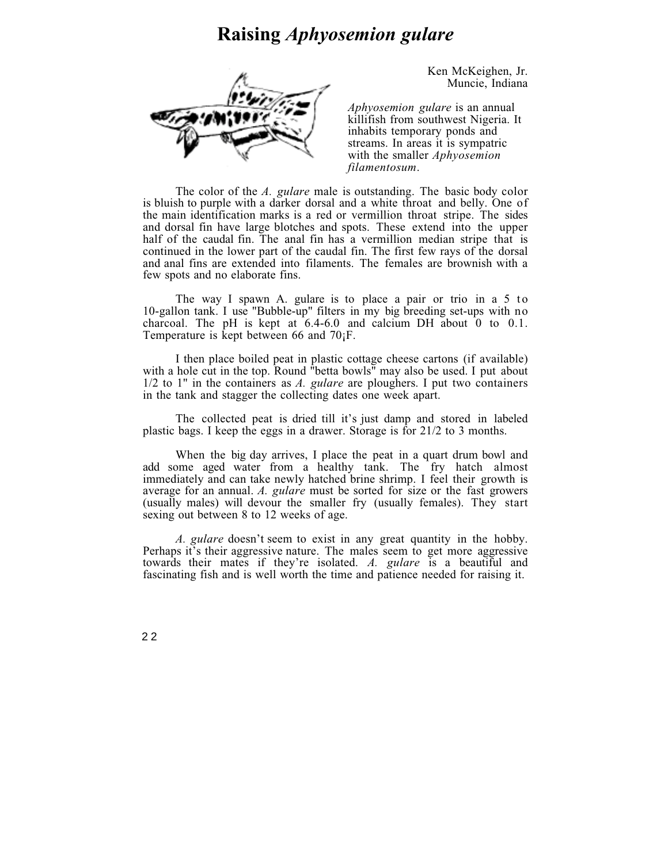# **Raising** *Aphyosemion gulare*



Ken McKeighen, Jr. Muncie, Indiana

*Aphyosemion gulare* is an annual killifish from southwest Nigeria. It inhabits temporary ponds and streams. In areas it is sympatric with the smaller *Aphyosemion filamentosum*.

The color of the *A. gulare* male is outstanding. The basic body color is bluish to purple with a darker dorsal and a white throat and belly. One of the main identification marks is a red or vermillion throat stripe. The sides and dorsal fin have large blotches and spots. These extend into the upper half of the caudal fin. The anal fin has a vermillion median stripe that is continued in the lower part of the caudal fin. The first few rays of the dorsal and anal fins are extended into filaments. The females are brownish with a few spots and no elaborate fins.

The way I spawn A. gulare is to place a pair or trio in a  $5$  to 10-gallon tank. I use "Bubble-up" filters in my big breeding set-ups with no charcoal. The pH is kept at  $6.4-6.0$  and calcium DH about  $0$  to 0.1. Temperature is kept between 66 and 70¡F.

I then place boiled peat in plastic cottage cheese cartons (if available) with a hole cut in the top. Round "betta bowls" may also be used. I put about 1/2 to 1" in the containers as *A. gulare* are ploughers. I put two containers in the tank and stagger the collecting dates one week apart.

The collected peat is dried till it's just damp and stored in labeled plastic bags. I keep the eggs in a drawer. Storage is for 21/2 to 3 months.

When the big day arrives, I place the peat in a quart drum bowl and add some aged water from a healthy tank. The fry hatch almost immediately and can take newly hatched brine shrimp. I feel their growth is average for an annual. *A. gulare* must be sorted for size or the fast growers (usually males) will devour the smaller fry (usually females). They start sexing out between 8 to 12 weeks of age.

*A. gulare* doesn't seem to exist in any great quantity in the hobby. Perhaps it's their aggressive nature. The males seem to get more aggressive towards their mates if they're isolated. *A. gulare* is a beautiful and fascinating fish and is well worth the time and patience needed for raising it.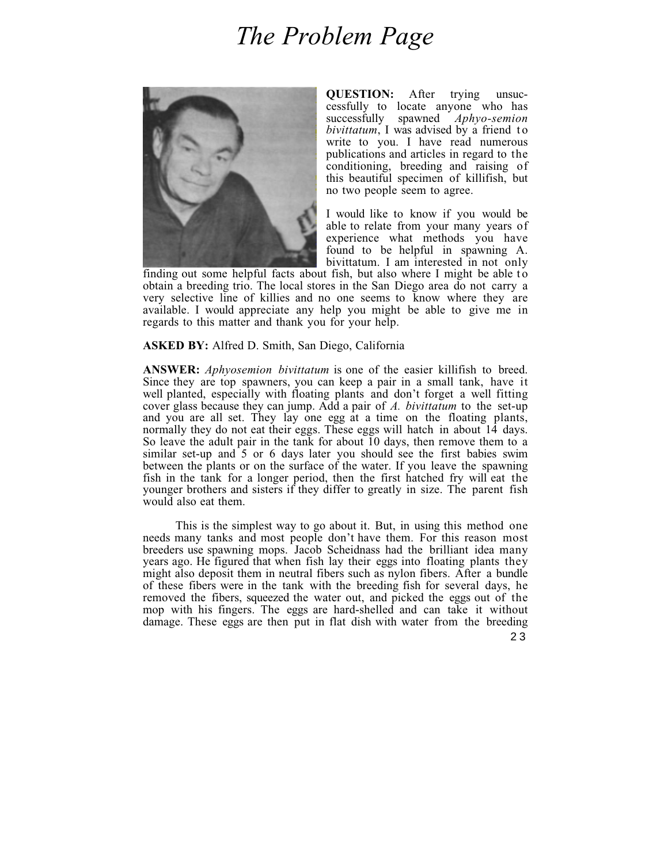# *The Problem Page*



**QUESTION:** After trying unsuccessfully to locate anyone who has successfully spawned *Aphyo-semion bivittatum*, I was advised by a friend to write to you. I have read numerous publications and articles in regard to the conditioning, breeding and raising of this beautiful specimen of killifish, but no two people seem to agree.

I would like to know if you would be able to relate from your many years of experience what methods you have found to be helpful in spawning A. bivittatum. I am interested in not only

finding out some helpful facts about fish, but also where I might be able to obtain a breeding trio. The local stores in the San Diego area do not carry a very selective line of killies and no one seems to know where they are available. I would appreciate any help you might be able to give me in regards to this matter and thank you for your help.

### **ASKED BY:** Alfred D. Smith, San Diego, California

**ANSWER:** *Aphyosemion bivittatum* is one of the easier killifish to breed. Since they are top spawners, you can keep a pair in a small tank, have it well planted, especially with floating plants and don't forget a well fitting cover glass because they can jump. Add a pair of *A. bivittatum* to the set-up and you are all set. They lay one egg at a time on the floating plants, normally they do not eat their eggs. These eggs will hatch in about 14 days. So leave the adult pair in the tank for about 10 days, then remove them to a similar set-up and 5 or 6 days later you should see the first babies swim between the plants or on the surface of the water. If you leave the spawning fish in the tank for a longer period, then the first hatched fry will eat the younger brothers and sisters if they differ to greatly in size. The parent fish would also eat them.

This is the simplest way to go about it. But, in using this method one needs many tanks and most people don't have them. For this reason most breeders use spawning mops. Jacob Scheidnass had the brilliant idea many years ago. He figured that when fish lay their eggs into floating plants they might also deposit them in neutral fibers such as nylon fibers. After a bundle of these fibers were in the tank with the breeding fish for several days, he removed the fibers, squeezed the water out, and picked the eggs out of the mop with his fingers. The eggs are hard-shelled and can take it without damage. These eggs are then put in flat dish with water from the breeding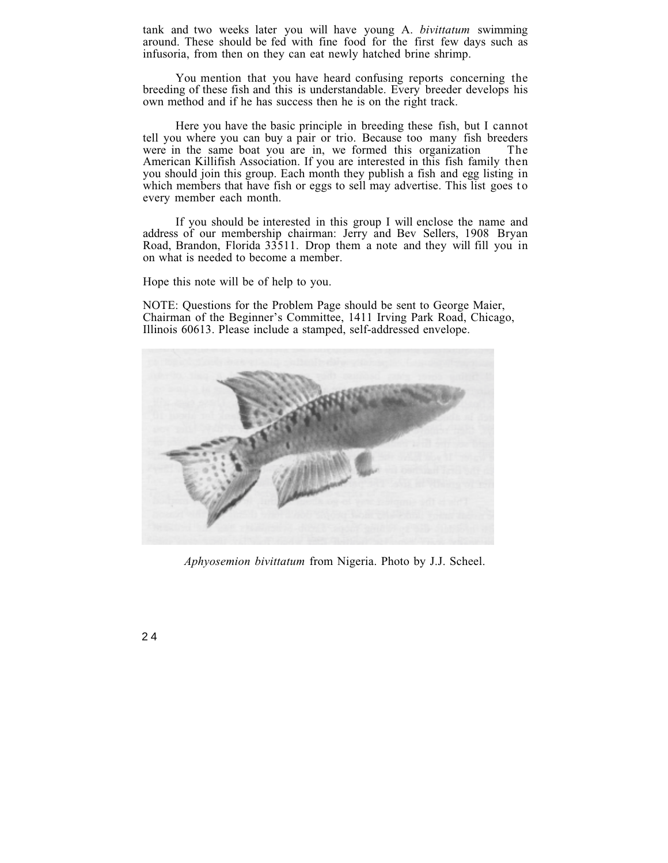tank and two weeks later you will have young A. *bivittatum* swimming around. These should be fed with fine food for the first few days such as infusoria, from then on they can eat newly hatched brine shrimp.

You mention that you have heard confusing reports concerning the breeding of these fish and this is understandable. Every breeder develops his own method and if he has success then he is on the right track.

Here you have the basic principle in breeding these fish, but I cannot tell you where you can buy a pair or trio. Because too many fish breeders were in the same boat you are in, we formed this organization American Killifish Association. If you are interested in this fish family then you should join this group. Each month they publish a fish and egg listing in which members that have fish or eggs to sell may advertise. This list goes to every member each month.

If you should be interested in this group I will enclose the name and address of our membership chairman: Jerry and Bev Sellers, 1908 Bryan Road, Brandon, Florida 33511. Drop them a note and they will fill you in on what is needed to become a member.

Hope this note will be of help to you.

NOTE: Questions for the Problem Page should be sent to George Maier, Chairman of the Beginner's Committee, 1411 Irving Park Road, Chicago, Illinois 60613. Please include a stamped, self-addressed envelope.



*Aphyosemion bivittatum* from Nigeria. Photo by J.J. Scheel.

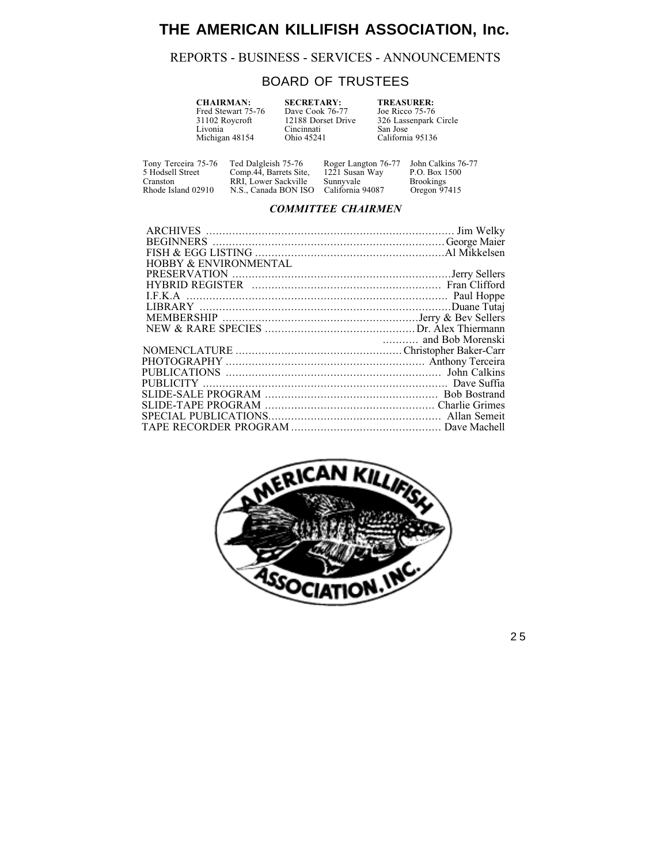# **THE AMERICAN KILLIFISH ASSOCIATION, Inc.**

## REPORTS - BUSINESS - SERVICES - ANNOUNCEMENTS

## BOARD OF TRUSTEES

| <b>CHAIRMAN:</b>   | <b>SECRETARY:</b>  | <b>TREASURER:</b>     |
|--------------------|--------------------|-----------------------|
| Fred Stewart 75-76 | Dave Cook 76-77    | Joe Ricco 75-76       |
| 31102 Roycroft     | 12188 Dorset Drive | 326 Lassenpark Circle |
| Livonia            | Cincinnati         | San Jose              |
| Michigan 48154     | Ohio 45241         | California 95136      |
|                    |                    |                       |

Rhode Island 02910 N.S., Canada BON ISO California 94087

Tony Terceira 75-76 Ted Dalgleish 75-76 Roger Langton 76-77 John Calkins 76-77 5 Hodsell Street Comp.44, Barrets Site, 1221 Susan Way P.O. Box 1500 Example 19 Comp. 44, Barrets Site, 1221 Susan Way P.O. Box 1500<br>Cranston RRI, Lower Sackville Sunnyvale Brookings<br>Rhode Island 02910 N.S., Canada BON ISO California 94087 Oregon 97415

## *COMMITTEE CHAIRMEN*

| <b>HOBBY &amp; ENVIRONMENTAL</b> |  |
|----------------------------------|--|
|                                  |  |
|                                  |  |
|                                  |  |
|                                  |  |
|                                  |  |
|                                  |  |
|                                  |  |
|                                  |  |
|                                  |  |
|                                  |  |
|                                  |  |
|                                  |  |
|                                  |  |
|                                  |  |
|                                  |  |
|                                  |  |

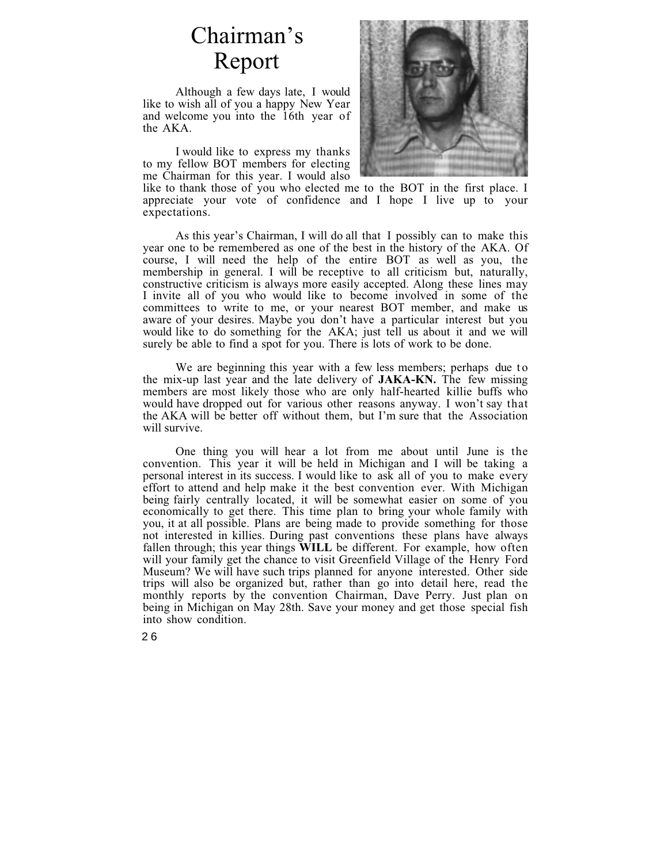# Chairman's Report

Although a few days late, I would like to wish all of you a happy New Year and welcome you into the 16th year of the AKA.

I would like to express my thanks to my fellow BOT members for electing me Chairman for this year. I would also



like to thank those of you who elected me to the BOT in the first place. I appreciate your vote of confidence and I hope I live up to your expectations.

As this year's Chairman, I will do all that I possibly can to make this year one to be remembered as one of the best in the history of the AKA. Of course, I will need the help of the entire BOT as well as you, the membership in general. I will be receptive to all criticism but, naturally, constructive criticism is always more easily accepted. Along these lines may I invite all of you who would like to become involved in some of the committees to write to me, or your nearest BOT member, and make us aware of your desires. Maybe you don't have a particular interest but you would like to do something for the AKA; just tell us about it and we will surely be able to find a spot for you. There is lots of work to be done.

We are beginning this year with a few less members; perhaps due to the mix-up last year and the late delivery of **JAKA-KN.** The few missing members are most likely those who are only half-hearted killie buffs who would have dropped out for various other reasons anyway. I won't say that the AKA will be better off without them, but I'm sure that the Association will survive.

One thing you will hear a lot from me about until June is the convention. This year it will be held in Michigan and I will be taking a personal interest in its success. I would like to ask all of you to make every effort to attend and help make it the best convention ever. With Michigan being fairly centrally located, it will be somewhat easier on some of you economically to get there. This time plan to bring your whole family with you, it at all possible. Plans are being made to provide something for those not interested in killies. During past conventions these plans have always fallen through; this year things **WILL** be different. For example, how often will your family get the chance to visit Greenfield Village of the Henry Ford Museum? We will have such trips planned for anyone interested. Other side trips will also be organized but, rather than go into detail here, read the monthly reports by the convention Chairman, Dave Perry. Just plan on being in Michigan on May 28th. Save your money and get those special fish into show condition.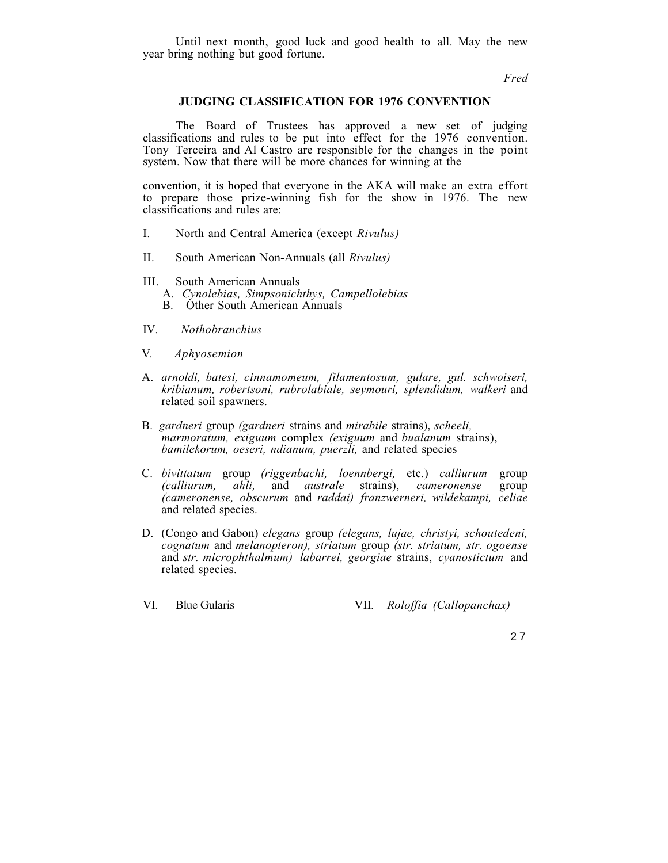Until next month, good luck and good health to all. May the new year bring nothing but good fortune.

*Fred*

## **JUDGING CLASSIFICATION FOR 1976 CONVENTION**

The Board of Trustees has approved a new set of judging classifications and rules to be put into effect for the 1976 convention. Tony Terceira and Al Castro are responsible for the changes in the point system. Now that there will be more chances for winning at the

convention, it is hoped that everyone in the AKA will make an extra effort to prepare those prize-winning fish for the show in 1976. The new classifications and rules are:

- I. North and Central America (except *Rivulus)*
- II. South American Non-Annuals (all *Rivulus)*
- III. South American Annuals A. *Cynolebias, Simpsonichthys, Campellolebias* B. Other South American Annuals
- IV. *Nothobranchius*
- V*. Aphyosemion*
- A. *arnoldi, batesi, cinnamomeum, filamentosum, gulare, gul. schwoiseri, kribianum, robertsoni, rubrolabiale, seymouri, splendidum, walkeri* and related soil spawners.
- B. *gardneri* group *(gardneri* strains and *mirabile* strains), *scheeli, marmoratum, exiguum* complex *(exiguum* and *bualanum* strains), *bamilekorum, oeseri, ndianum, puerzli,* and related species
- C. *bivittatum* group *(riggenbachi, loennbergi,* etc.) *calliurum* group  $\partial$  *australe (cameronense, obscurum* and *raddai) franzwerneri, wildekampi, celiae* and related species.
- D. (Congo and Gabon) *elegans* group *(elegans, lujae, christyi, schoutedeni, cognatum* and *melanopteron), striatum* group *(str. striatum, str. ogoense* and *str. microphthalmum) labarrei, georgiae* strains, *cyanostictum* and related species.
- VI. Blue Gularis VII*. Roloffia (Callopanchax)*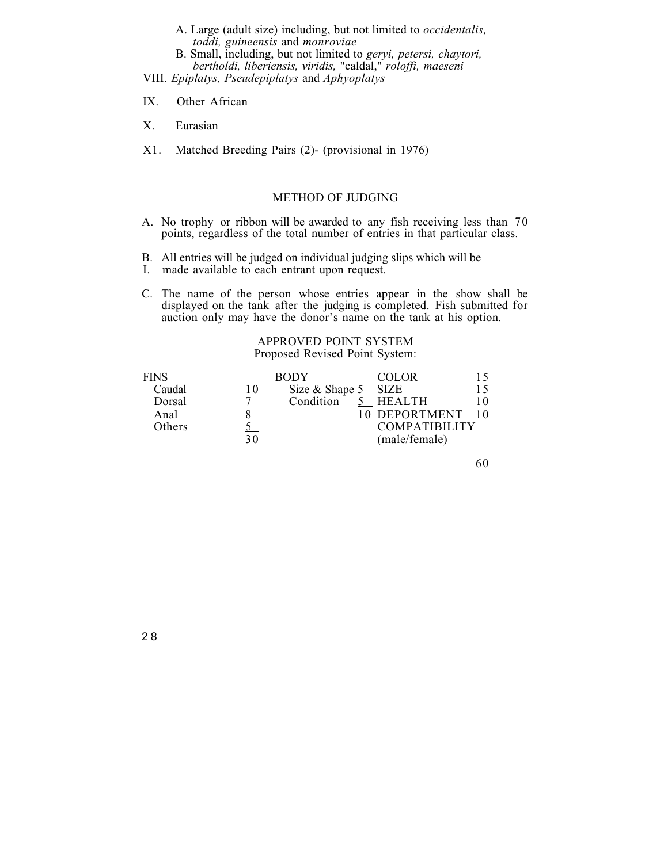- A. Large (adult size) including, but not limited to *occidentalis, toddi, guineensis* and *monroviae*
- B. Small, including, but not limited to *geryi, petersi, chaytori, bertholdi, liberiensis, viridis,* "caldal," *roloffi, maeseni*

VIII. *Epiplatys, Pseudepiplatys* and *Aphyoplatys*

- IX. Other African
- X. Eurasian
- X1. Matched Breeding Pairs (2)- (provisional in 1976)

## METHOD OF JUDGING

- A. No trophy or ribbon will be awarded to any fish receiving less than 70 points, regardless of the total number of entries in that particular class.
- B. All entries will be judged on individual judging slips which will be
- I. made available to each entrant upon request.
- C. The name of the person whose entries appear in the show shall be displayed on the tank after the judging is completed. Fish submitted for auction only may have the donor's name on the tank at his option.

## APPROVED POINT SYSTEM Proposed Revised Point System:

| <b>FINS</b> |    | <b>BODY</b>         | <b>COLOR</b>         |    |
|-------------|----|---------------------|----------------------|----|
| Caudal      | 10 | Size & Shape 5 SIZE |                      | 15 |
| Dorsal      |    | Condition           | 5 HEALTH             | 10 |
| Anal        |    |                     | 10 DEPORTMENT        |    |
| Others      |    |                     | <b>COMPATIBILITY</b> |    |
|             | 30 |                     | (male/female)        |    |

60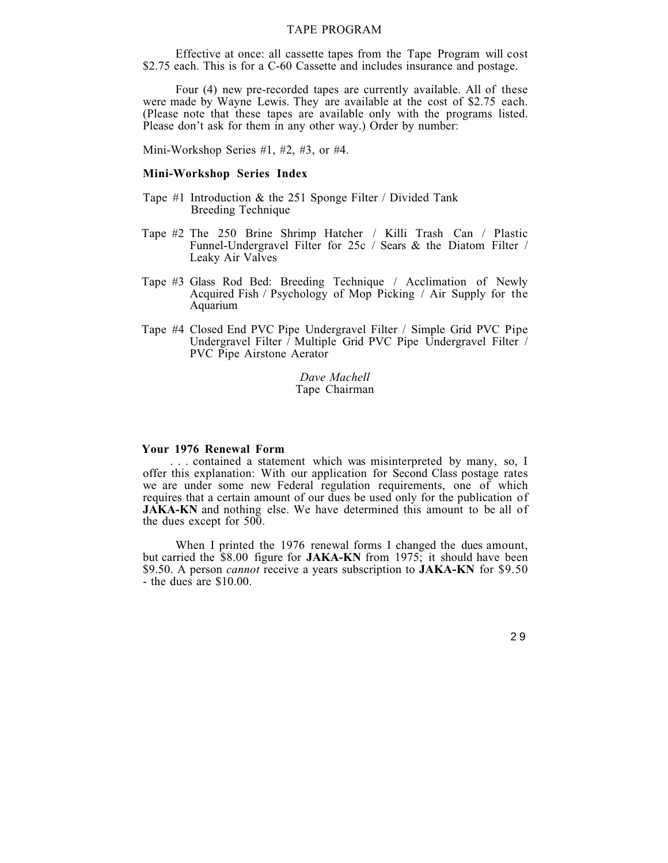## TAPE PROGRAM

Effective at once: all cassette tapes from the Tape Program will cost \$2.75 each. This is for a C-60 Cassette and includes insurance and postage.

Four (4) new pre-recorded tapes are currently available. All of these were made by Wayne Lewis. They are available at the cost of \$2.75 each. (Please note that these tapes are available only with the programs listed. Please don't ask for them in any other way.) Order by number:

Mini-Workshop Series #1, #2, #3, or #4.

## **Mini-Workshop Series Index**

- Tape #1 Introduction & the 251 Sponge Filter / Divided Tank Breeding Technique
- Tape #2 The 250 Brine Shrimp Hatcher / Killi Trash Can / Plastic Funnel-Undergravel Filter for 25c / Sears & the Diatom Filter / Leaky Air Valves
- Tape #3 Glass Rod Bed: Breeding Technique / Acclimation of Newly Acquired Fish / Psychology of Mop Picking / Air Supply for the Aquarium
- Tape #4 Closed End PVC Pipe Undergravel Filter / Simple Grid PVC Pipe Undergravel Filter / Multiple Grid PVC Pipe Undergravel Filter / PVC Pipe Airstone Aerator

*Dave Machell* Tape Chairman

#### **Your 1976 Renewal Form**

. . . contained a statement which was misinterpreted by many, so, I offer this explanation: With our application for Second Class postage rates we are under some new Federal regulation requirements, one of which requires that a certain amount of our dues be used only for the publication of **JAKA-KN** and nothing else. We have determined this amount to be all of the dues except for 500.

When I printed the 1976 renewal forms I changed the dues amount, but carried the \$8.00 figure for **JAKA-KN** from 1975; it should have been \$9.50. A person *cannot* receive a years subscription to **JAKA-KN** for \$9.50 - the dues are \$10.00.